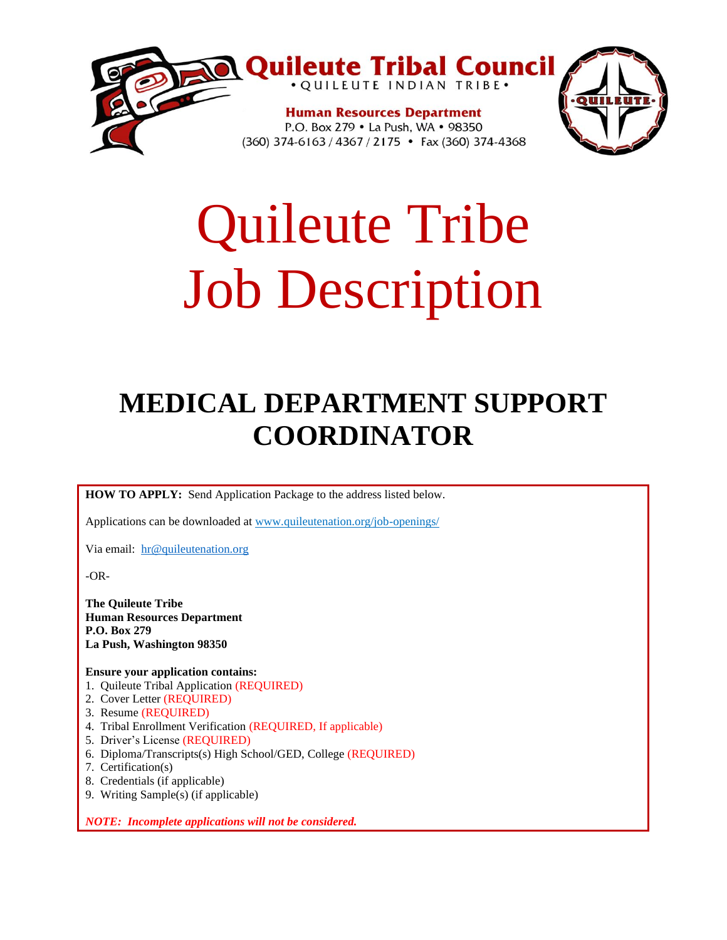

# Quileute Tribe Job Description

# **MEDICAL DEPARTMENT SUPPORT COORDINATOR**

**HOW TO APPLY:** Send Application Package to the address listed below.

Applications can be downloaded at www.quileutenation.org/job-openings/

Via email: [hr@quileutenation.org](mailto:hr@quileutenation.org)

-OR-

**The Quileute Tribe Human Resources Department P.O. Box 279 La Push, Washington 98350**

**Ensure your application contains:**

- 1. Quileute Tribal Application (REQUIRED)
- 2. Cover Letter (REQUIRED)
- 3. Resume (REQUIRED)
- 4. Tribal Enrollment Verification (REQUIRED, If applicable)
- 5. Driver's License (REQUIRED)
- 6. Diploma/Transcripts(s) High School/GED, College (REQUIRED)
- 7. Certification(s)
- 8. Credentials (if applicable)
- 9. Writing Sample(s) (if applicable)

*NOTE: Incomplete applications will not be considered.*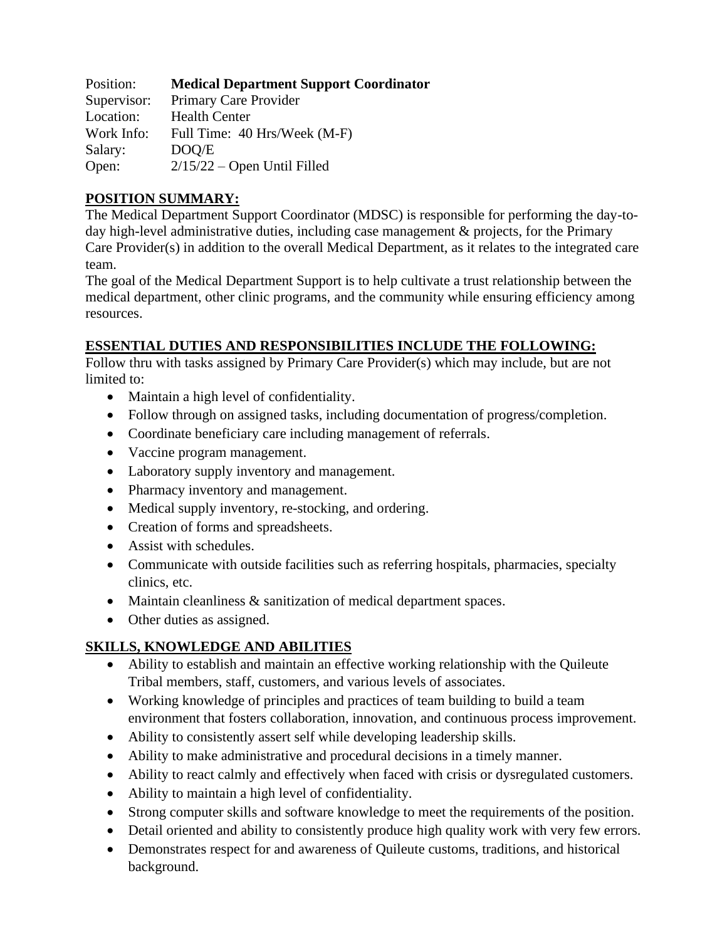| Position:   | <b>Medical Department Support Coordinator</b> |
|-------------|-----------------------------------------------|
| Supervisor: | Primary Care Provider                         |
| Location:   | <b>Health Center</b>                          |
| Work Info:  | Full Time: 40 Hrs/Week (M-F)                  |
| Salary:     | DOO/E                                         |
| Open:       | $2/15/22$ – Open Until Filled                 |

### **POSITION SUMMARY:**

The Medical Department Support Coordinator (MDSC) is responsible for performing the day-today high-level administrative duties, including case management & projects, for the Primary Care Provider(s) in addition to the overall Medical Department, as it relates to the integrated care team.

The goal of the Medical Department Support is to help cultivate a trust relationship between the medical department, other clinic programs, and the community while ensuring efficiency among resources.

#### **ESSENTIAL DUTIES AND RESPONSIBILITIES INCLUDE THE FOLLOWING:**

Follow thru with tasks assigned by Primary Care Provider(s) which may include, but are not limited to:

- Maintain a high level of confidentiality.
- Follow through on assigned tasks, including documentation of progress/completion.
- Coordinate beneficiary care including management of referrals.
- Vaccine program management.
- Laboratory supply inventory and management.
- Pharmacy inventory and management.
- Medical supply inventory, re-stocking, and ordering.
- Creation of forms and spreadsheets.
- Assist with schedules.
- Communicate with outside facilities such as referring hospitals, pharmacies, specialty clinics, etc.
- Maintain cleanliness & sanitization of medical department spaces.
- Other duties as assigned.

# **SKILLS, KNOWLEDGE AND ABILITIES**

- Ability to establish and maintain an effective working relationship with the Quileute Tribal members, staff, customers, and various levels of associates.
- Working knowledge of principles and practices of team building to build a team environment that fosters collaboration, innovation, and continuous process improvement.
- Ability to consistently assert self while developing leadership skills.
- Ability to make administrative and procedural decisions in a timely manner.
- Ability to react calmly and effectively when faced with crisis or dysregulated customers.
- Ability to maintain a high level of confidentiality.
- Strong computer skills and software knowledge to meet the requirements of the position.
- Detail oriented and ability to consistently produce high quality work with very few errors.
- Demonstrates respect for and awareness of Quileute customs, traditions, and historical background.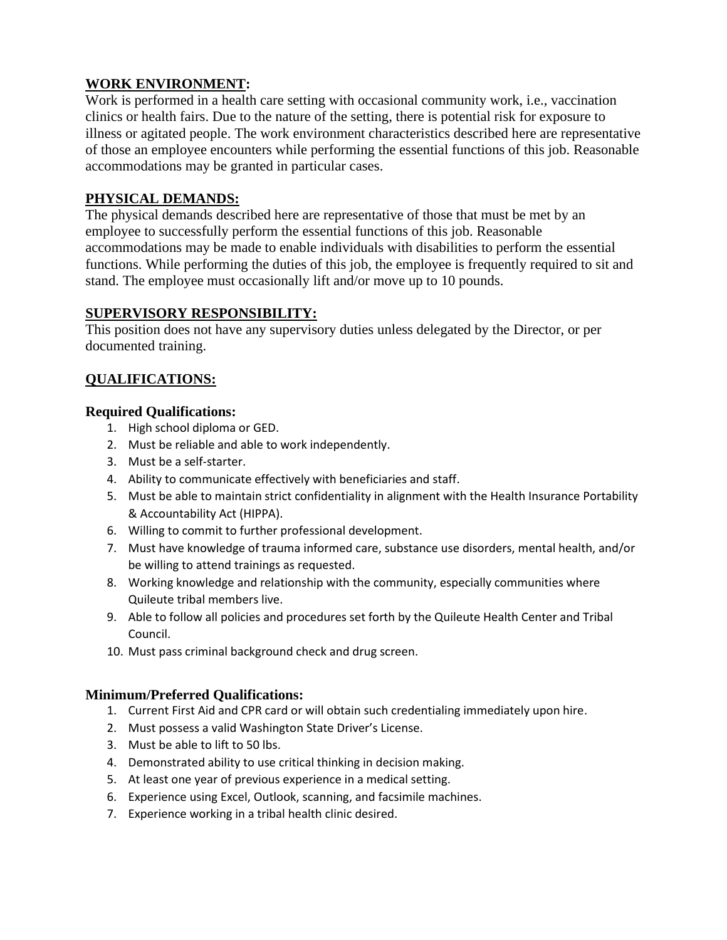#### **WORK ENVIRONMENT:**

Work is performed in a health care setting with occasional community work, i.e., vaccination clinics or health fairs. Due to the nature of the setting, there is potential risk for exposure to illness or agitated people. The work environment characteristics described here are representative of those an employee encounters while performing the essential functions of this job. Reasonable accommodations may be granted in particular cases.

#### **PHYSICAL DEMANDS:**

The physical demands described here are representative of those that must be met by an employee to successfully perform the essential functions of this job. Reasonable accommodations may be made to enable individuals with disabilities to perform the essential functions. While performing the duties of this job, the employee is frequently required to sit and stand. The employee must occasionally lift and/or move up to 10 pounds.

#### **SUPERVISORY RESPONSIBILITY:**

This position does not have any supervisory duties unless delegated by the Director, or per documented training.

# **QUALIFICATIONS:**

#### **Required Qualifications:**

- 1. High school diploma or GED.
- 2. Must be reliable and able to work independently.
- 3. Must be a self-starter.
- 4. Ability to communicate effectively with beneficiaries and staff.
- 5. Must be able to maintain strict confidentiality in alignment with the Health Insurance Portability & Accountability Act (HIPPA).
- 6. Willing to commit to further professional development.
- 7. Must have knowledge of trauma informed care, substance use disorders, mental health, and/or be willing to attend trainings as requested.
- 8. Working knowledge and relationship with the community, especially communities where Quileute tribal members live.
- 9. Able to follow all policies and procedures set forth by the Quileute Health Center and Tribal Council.
- 10. Must pass criminal background check and drug screen.

#### **Minimum/Preferred Qualifications:**

- 1. Current First Aid and CPR card or will obtain such credentialing immediately upon hire.
- 2. Must possess a valid Washington State Driver's License.
- 3. Must be able to lift to 50 lbs.
- 4. Demonstrated ability to use critical thinking in decision making.
- 5. At least one year of previous experience in a medical setting.
- 6. Experience using Excel, Outlook, scanning, and facsimile machines.
- 7. Experience working in a tribal health clinic desired.